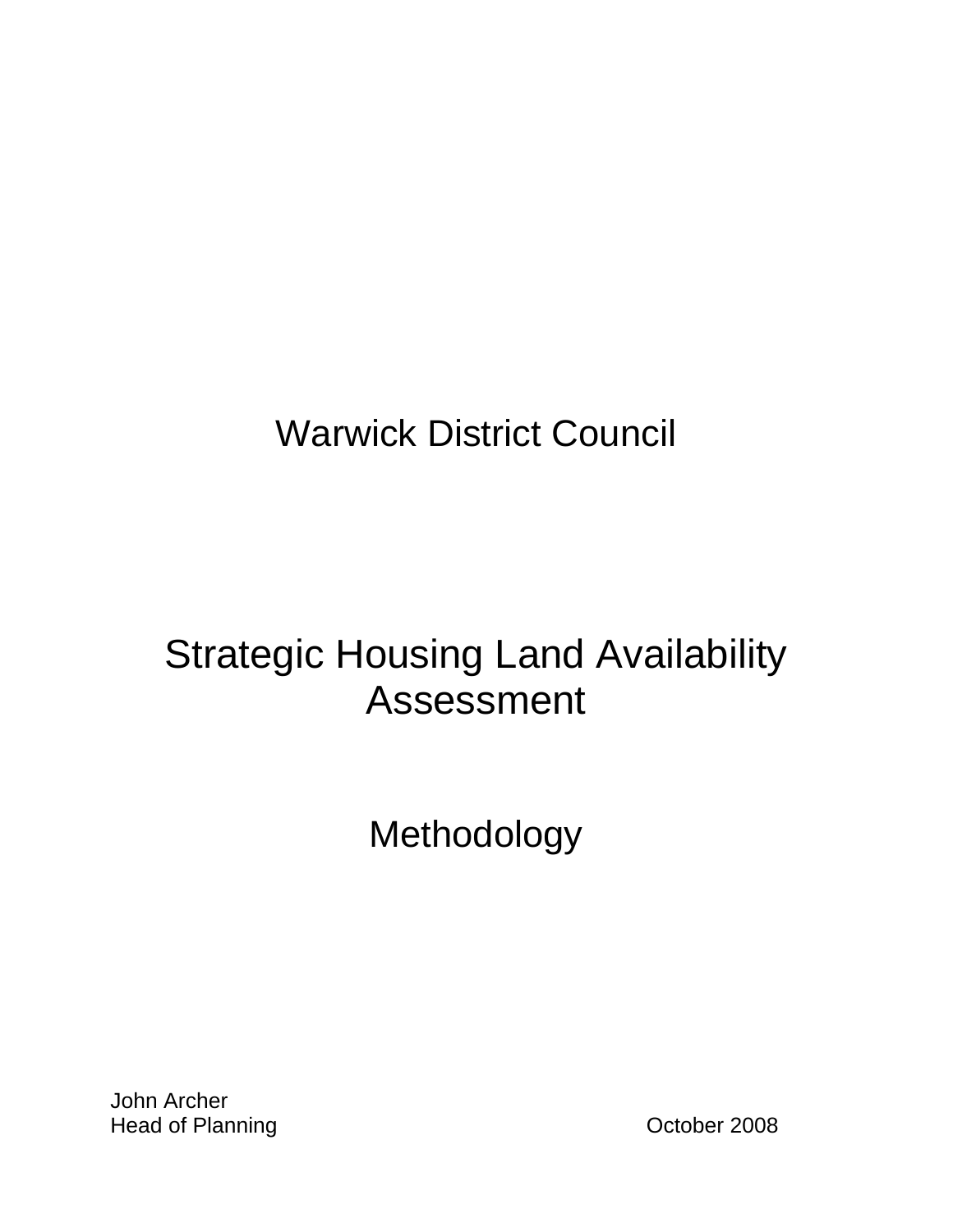# Warwick District Council

# Strategic Housing Land Availability Assessment

# Methodology

John Archer Head of Planning **Accord 2008 Contract Contract Contract 2008**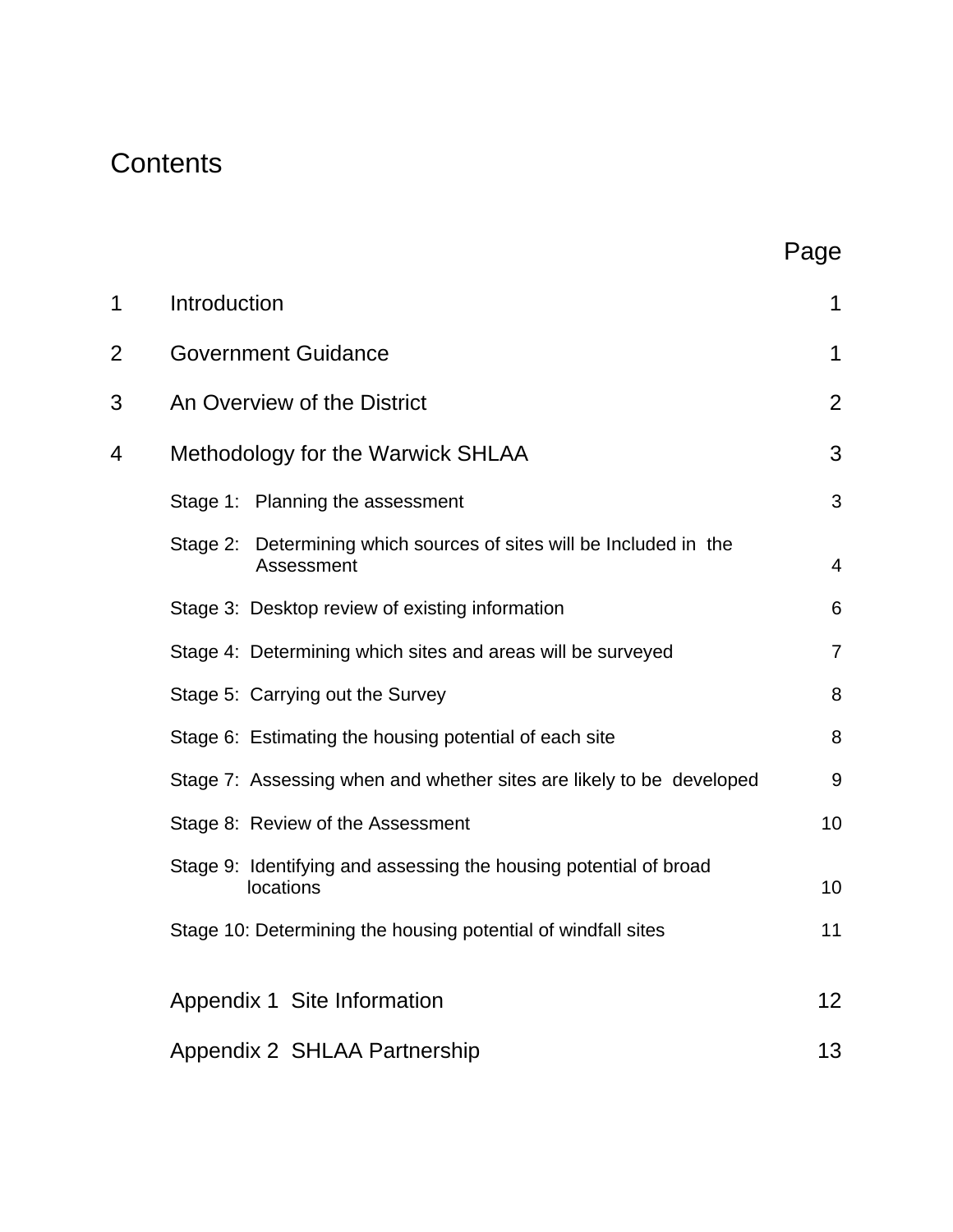# **Contents**

|   |                                                                                      | Page           |
|---|--------------------------------------------------------------------------------------|----------------|
| 1 | Introduction                                                                         | 1              |
| 2 | <b>Government Guidance</b>                                                           | 1              |
| 3 | An Overview of the District                                                          | $\overline{2}$ |
| 4 | Methodology for the Warwick SHLAA                                                    | 3              |
|   | Stage 1: Planning the assessment                                                     | 3              |
|   | Determining which sources of sites will be Included in the<br>Stage 2:<br>Assessment | 4              |
|   | Stage 3: Desktop review of existing information                                      | 6              |
|   | Stage 4: Determining which sites and areas will be surveyed                          | $\overline{7}$ |
|   | Stage 5: Carrying out the Survey                                                     | 8              |
|   | Stage 6: Estimating the housing potential of each site                               | 8              |
|   | Stage 7: Assessing when and whether sites are likely to be developed                 | 9              |
|   | Stage 8: Review of the Assessment                                                    | 10             |
|   | Stage 9: Identifying and assessing the housing potential of broad<br>locations       | 10             |
|   | Stage 10: Determining the housing potential of windfall sites                        | 11             |
|   | Appendix 1 Site Information                                                          | 12             |
|   | Appendix 2 SHLAA Partnership                                                         | 13             |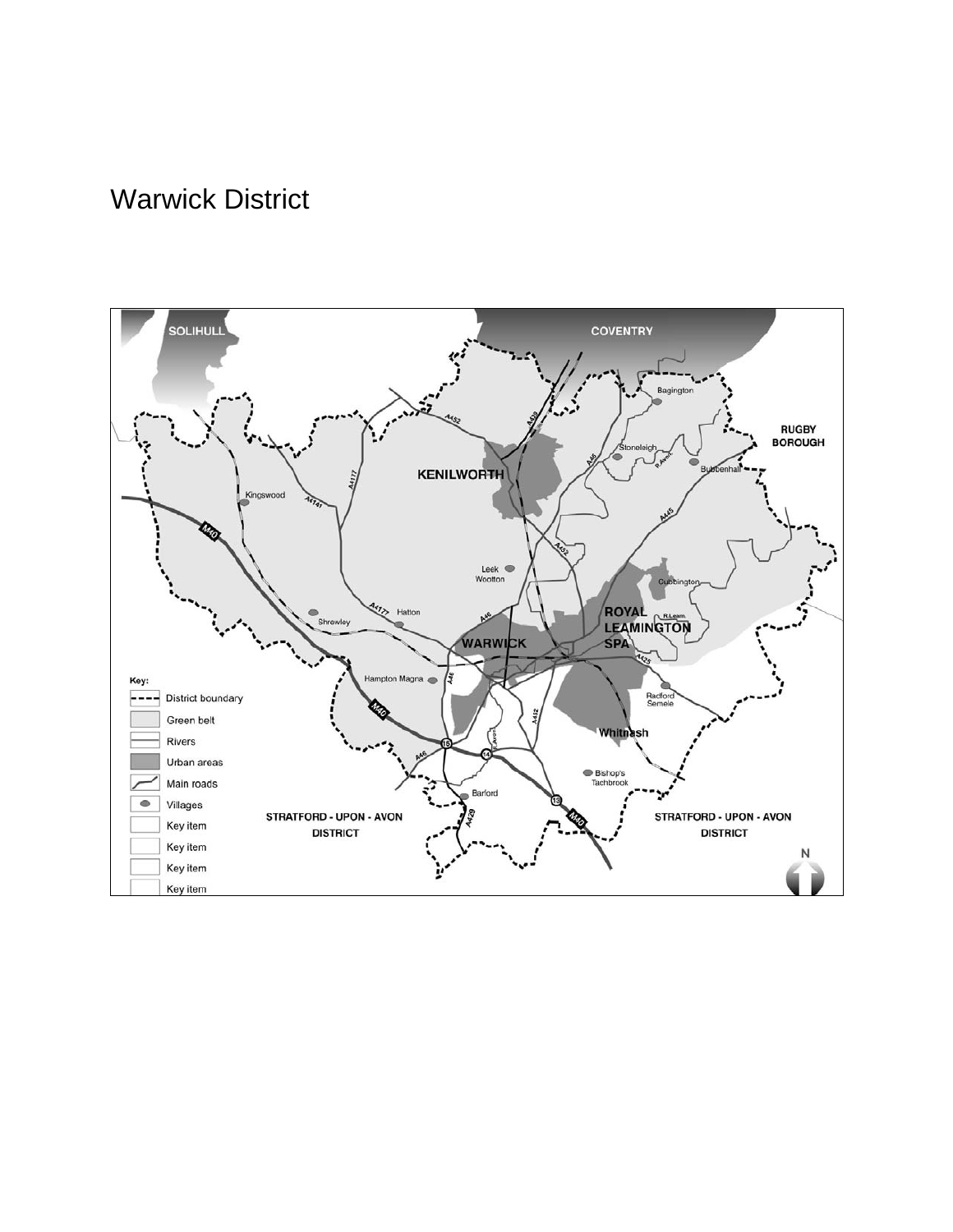# Warwick District

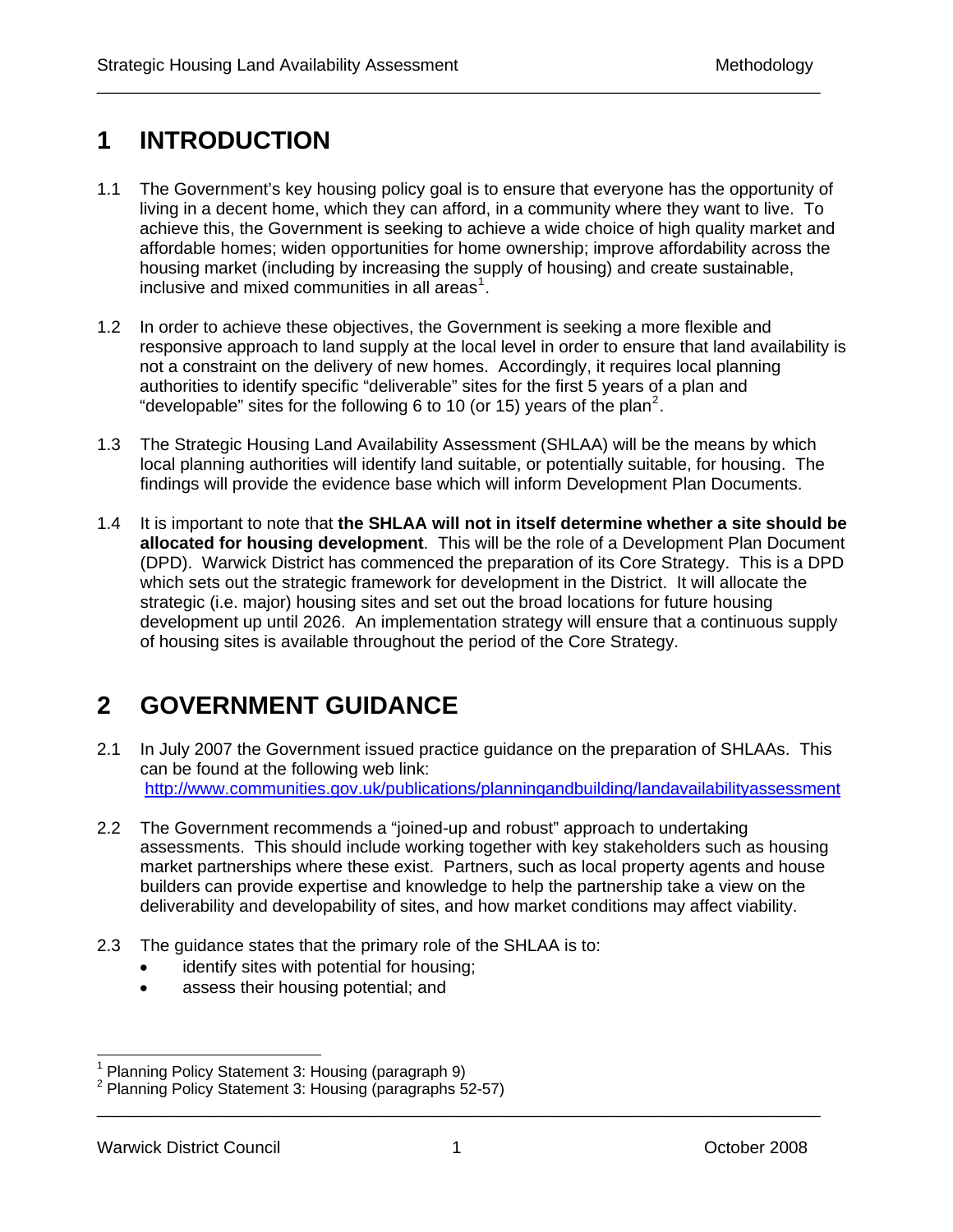# **1 INTRODUCTION**

1.1 The Government's key housing policy goal is to ensure that everyone has the opportunity of living in a decent home, which they can afford, in a community where they want to live. To achieve this, the Government is seeking to achieve a wide choice of high quality market and affordable homes; widen opportunities for home ownership; improve affordability across the housing market (including by increasing the supply of housing) and create sustainable, inclusive and mixed communities in all areas<sup>[1](#page-6-0)</sup>.

\_\_\_\_\_\_\_\_\_\_\_\_\_\_\_\_\_\_\_\_\_\_\_\_\_\_\_\_\_\_\_\_\_\_\_\_\_\_\_\_\_\_\_\_\_\_\_\_\_\_\_\_\_\_\_\_\_\_\_\_\_\_\_\_\_\_\_\_\_\_\_\_\_\_\_\_

- 1.2 In order to achieve these objectives, the Government is seeking a more flexible and responsive approach to land supply at the local level in order to ensure that land availability is not a constraint on the delivery of new homes. Accordingly, it requires local planning authorities to identify specific "deliverable" sites for the first 5 years of a plan and "developable" sites for the following 6 to 10 (or 15) years of the plan<sup>[2](#page-6-1)</sup>.
- 1.3 The Strategic Housing Land Availability Assessment (SHLAA) will be the means by which local planning authorities will identify land suitable, or potentially suitable, for housing. The findings will provide the evidence base which will inform Development Plan Documents.
- 1.4 It is important to note that **the SHLAA will not in itself determine whether a site should be allocated for housing development**. This will be the role of a Development Plan Document (DPD). Warwick District has commenced the preparation of its Core Strategy. This is a DPD which sets out the strategic framework for development in the District. It will allocate the strategic (i.e. major) housing sites and set out the broad locations for future housing development up until 2026. An implementation strategy will ensure that a continuous supply of housing sites is available throughout the period of the Core Strategy.

# **2 GOVERNMENT GUIDANCE**

- 2.1 In July 2007 the Government issued practice guidance on the preparation of SHLAAs. This can be found at the following web link: <http://www.communities.gov.uk/publications/planningandbuilding/landavailabilityassessment>
- 2.2 The Government recommends a "joined-up and robust" approach to undertaking assessments. This should include working together with key stakeholders such as housing market partnerships where these exist. Partners, such as local property agents and house builders can provide expertise and knowledge to help the partnership take a view on the deliverability and developability of sites, and how market conditions may affect viability.
- 2.3 The guidance states that the primary role of the SHLAA is to:
	- identify sites with potential for housing;
	- assess their housing potential; and

 $\overline{a}$ 

<span id="page-6-0"></span><sup>&</sup>lt;sup>1</sup> Planning Policy Statement 3: Housing (paragraph 9)

<span id="page-6-1"></span><sup>&</sup>lt;sup>2</sup> Planning Policy Statement 3: Housing (paragraphs 52-57)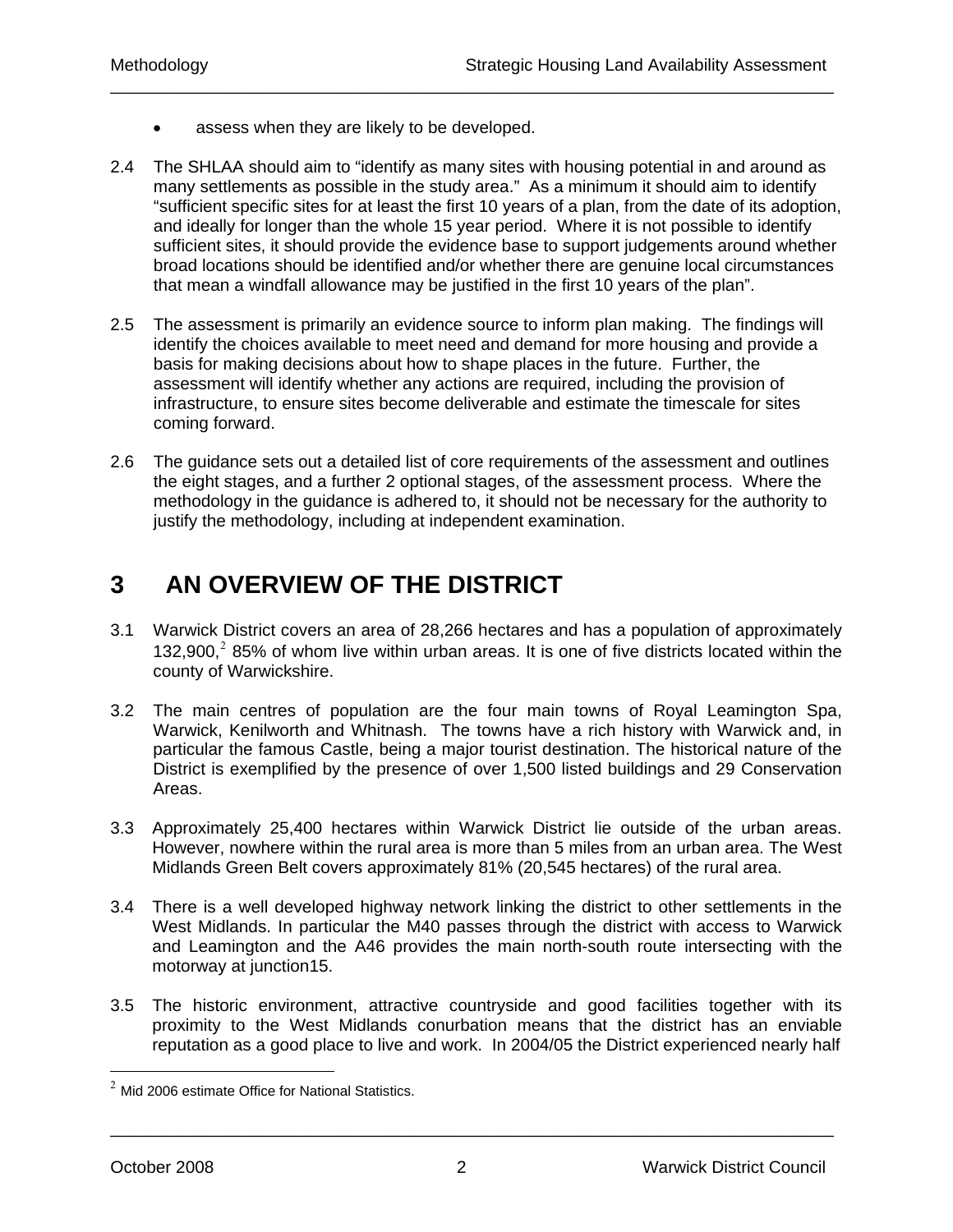- assess when they are likely to be developed.
- 2.4 The SHLAA should aim to "identify as many sites with housing potential in and around as many settlements as possible in the study area." As a minimum it should aim to identify "sufficient specific sites for at least the first 10 years of a plan, from the date of its adoption, and ideally for longer than the whole 15 year period. Where it is not possible to identify sufficient sites, it should provide the evidence base to support judgements around whether broad locations should be identified and/or whether there are genuine local circumstances that mean a windfall allowance may be justified in the first 10 years of the plan".

\_\_\_\_\_\_\_\_\_\_\_\_\_\_\_\_\_\_\_\_\_\_\_\_\_\_\_\_\_\_\_\_\_\_\_\_\_\_\_\_\_\_\_\_\_\_\_\_\_\_\_\_\_\_\_\_\_\_\_\_\_\_\_\_\_\_\_\_\_\_\_\_\_\_\_\_

- 2.5 The assessment is primarily an evidence source to inform plan making. The findings will identify the choices available to meet need and demand for more housing and provide a basis for making decisions about how to shape places in the future. Further, the assessment will identify whether any actions are required, including the provision of infrastructure, to ensure sites become deliverable and estimate the timescale for sites coming forward.
- 2.6 The guidance sets out a detailed list of core requirements of the assessment and outlines the eight stages, and a further 2 optional stages, of the assessment process. Where the methodology in the guidance is adhered to, it should not be necessary for the authority to justify the methodology, including at independent examination.

# **3 AN OVERVIEW OF THE DISTRICT**

- 3.1 Warwick District covers an area of 28,266 hectares and has a population of approximately 132,900, $2$  85% of whom live within urban areas. It is one of five districts located within the county of Warwickshire.
- 3.2 The main centres of population are the four main towns of Royal Leamington Spa, Warwick, Kenilworth and Whitnash. The towns have a rich history with Warwick and, in particular the famous Castle, being a major tourist destination. The historical nature of the District is exemplified by the presence of over 1,500 listed buildings and 29 Conservation Areas.
- 3.3 Approximately 25,400 hectares within Warwick District lie outside of the urban areas. However, nowhere within the rural area is more than 5 miles from an urban area. The West Midlands Green Belt covers approximately 81% (20,545 hectares) of the rural area.
- 3.4 There is a well developed highway network linking the district to other settlements in the West Midlands. In particular the M40 passes through the district with access to Warwick and Leamington and the A46 provides the main north-south route intersecting with the motorway at junction15.
- 3.5 The historic environment, attractive countryside and good facilities together with its proximity to the West Midlands conurbation means that the district has an enviable reputation as a good place to live and work. In 2004/05 the District experienced nearly half

<span id="page-7-0"></span> $2$  Mid 2006 estimate Office for National Statistics.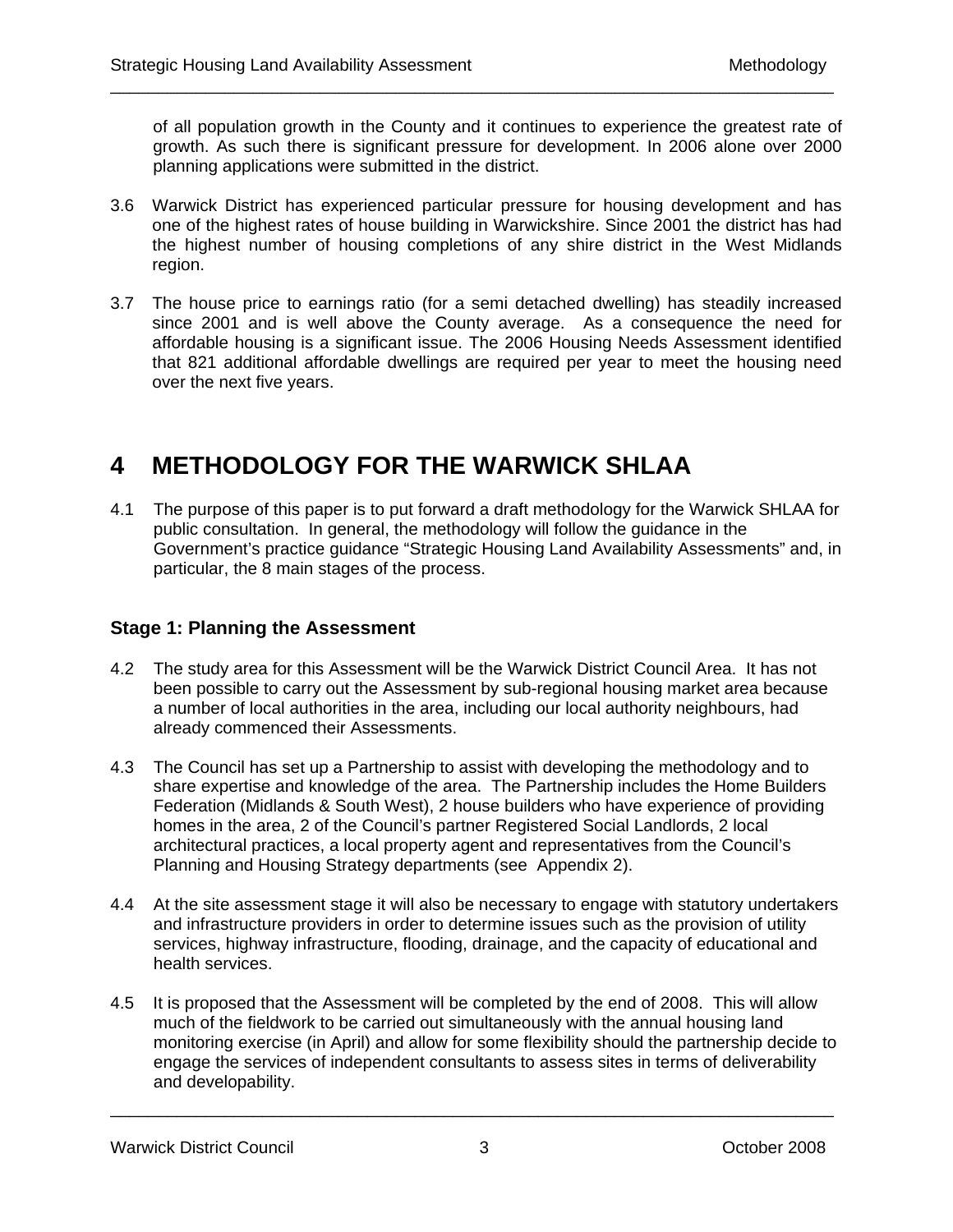of all population growth in the County and it continues to experience the greatest rate of growth. As such there is significant pressure for development. In 2006 alone over 2000 planning applications were submitted in the district.

3.6 Warwick District has experienced particular pressure for housing development and has one of the highest rates of house building in Warwickshire. Since 2001 the district has had the highest number of housing completions of any shire district in the West Midlands region.

\_\_\_\_\_\_\_\_\_\_\_\_\_\_\_\_\_\_\_\_\_\_\_\_\_\_\_\_\_\_\_\_\_\_\_\_\_\_\_\_\_\_\_\_\_\_\_\_\_\_\_\_\_\_\_\_\_\_\_\_\_\_\_\_\_\_\_\_\_\_\_\_\_\_\_\_

3.7 The house price to earnings ratio (for a semi detached dwelling) has steadily increased since 2001 and is well above the County average. As a consequence the need for affordable housing is a significant issue. The 2006 Housing Needs Assessment identified that 821 additional affordable dwellings are required per year to meet the housing need over the next five years.

# **4 METHODOLOGY FOR THE WARWICK SHLAA**

4.1 The purpose of this paper is to put forward a draft methodology for the Warwick SHLAA for public consultation. In general, the methodology will follow the guidance in the Government's practice guidance "Strategic Housing Land Availability Assessments" and, in particular, the 8 main stages of the process.

### **Stage 1: Planning the Assessment**

- 4.2 The study area for this Assessment will be the Warwick District Council Area. It has not been possible to carry out the Assessment by sub-regional housing market area because a number of local authorities in the area, including our local authority neighbours, had already commenced their Assessments.
- 4.3 The Council has set up a Partnership to assist with developing the methodology and to share expertise and knowledge of the area. The Partnership includes the Home Builders Federation (Midlands & South West), 2 house builders who have experience of providing homes in the area, 2 of the Council's partner Registered Social Landlords, 2 local architectural practices, a local property agent and representatives from the Council's Planning and Housing Strategy departments (see Appendix 2).
- 4.4 At the site assessment stage it will also be necessary to engage with statutory undertakers and infrastructure providers in order to determine issues such as the provision of utility services, highway infrastructure, flooding, drainage, and the capacity of educational and health services.
- 4.5 It is proposed that the Assessment will be completed by the end of 2008. This will allow much of the fieldwork to be carried out simultaneously with the annual housing land monitoring exercise (in April) and allow for some flexibility should the partnership decide to engage the services of independent consultants to assess sites in terms of deliverability and developability.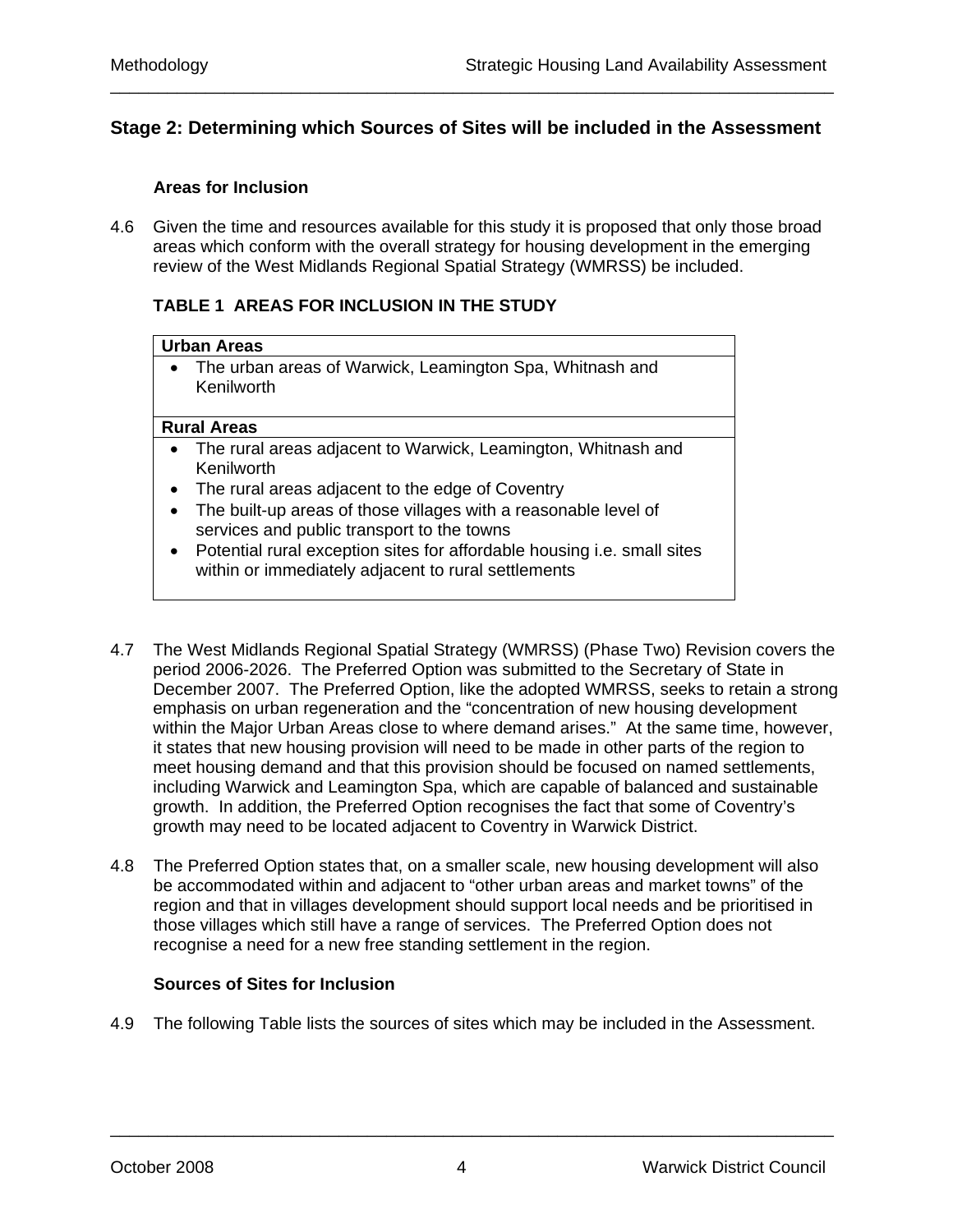## **Stage 2: Determining which Sources of Sites will be included in the Assessment**

\_\_\_\_\_\_\_\_\_\_\_\_\_\_\_\_\_\_\_\_\_\_\_\_\_\_\_\_\_\_\_\_\_\_\_\_\_\_\_\_\_\_\_\_\_\_\_\_\_\_\_\_\_\_\_\_\_\_\_\_\_\_\_\_\_\_\_\_\_\_\_\_\_\_\_\_

#### **Areas for Inclusion**

4.6 Given the time and resources available for this study it is proposed that only those broad areas which conform with the overall strategy for housing development in the emerging review of the West Midlands Regional Spatial Strategy (WMRSS) be included.

#### **TABLE 1 AREAS FOR INCLUSION IN THE STUDY**

#### **Urban Areas**

• The urban areas of Warwick, Leamington Spa, Whitnash and Kenilworth

#### **Rural Areas**

- The rural areas adjacent to Warwick, Leamington, Whitnash and Kenilworth
- The rural areas adjacent to the edge of Coventry
- The built-up areas of those villages with a reasonable level of services and public transport to the towns
- Potential rural exception sites for affordable housing i.e. small sites within or immediately adjacent to rural settlements
- 4.7 The West Midlands Regional Spatial Strategy (WMRSS) (Phase Two) Revision covers the period 2006-2026. The Preferred Option was submitted to the Secretary of State in December 2007. The Preferred Option, like the adopted WMRSS, seeks to retain a strong emphasis on urban regeneration and the "concentration of new housing development within the Major Urban Areas close to where demand arises." At the same time, however, it states that new housing provision will need to be made in other parts of the region to meet housing demand and that this provision should be focused on named settlements, including Warwick and Leamington Spa, which are capable of balanced and sustainable growth. In addition, the Preferred Option recognises the fact that some of Coventry's growth may need to be located adjacent to Coventry in Warwick District.
- 4.8 The Preferred Option states that, on a smaller scale, new housing development will also be accommodated within and adjacent to "other urban areas and market towns" of the region and that in villages development should support local needs and be prioritised in those villages which still have a range of services. The Preferred Option does not recognise a need for a new free standing settlement in the region.

#### **Sources of Sites for Inclusion**

4.9 The following Table lists the sources of sites which may be included in the Assessment.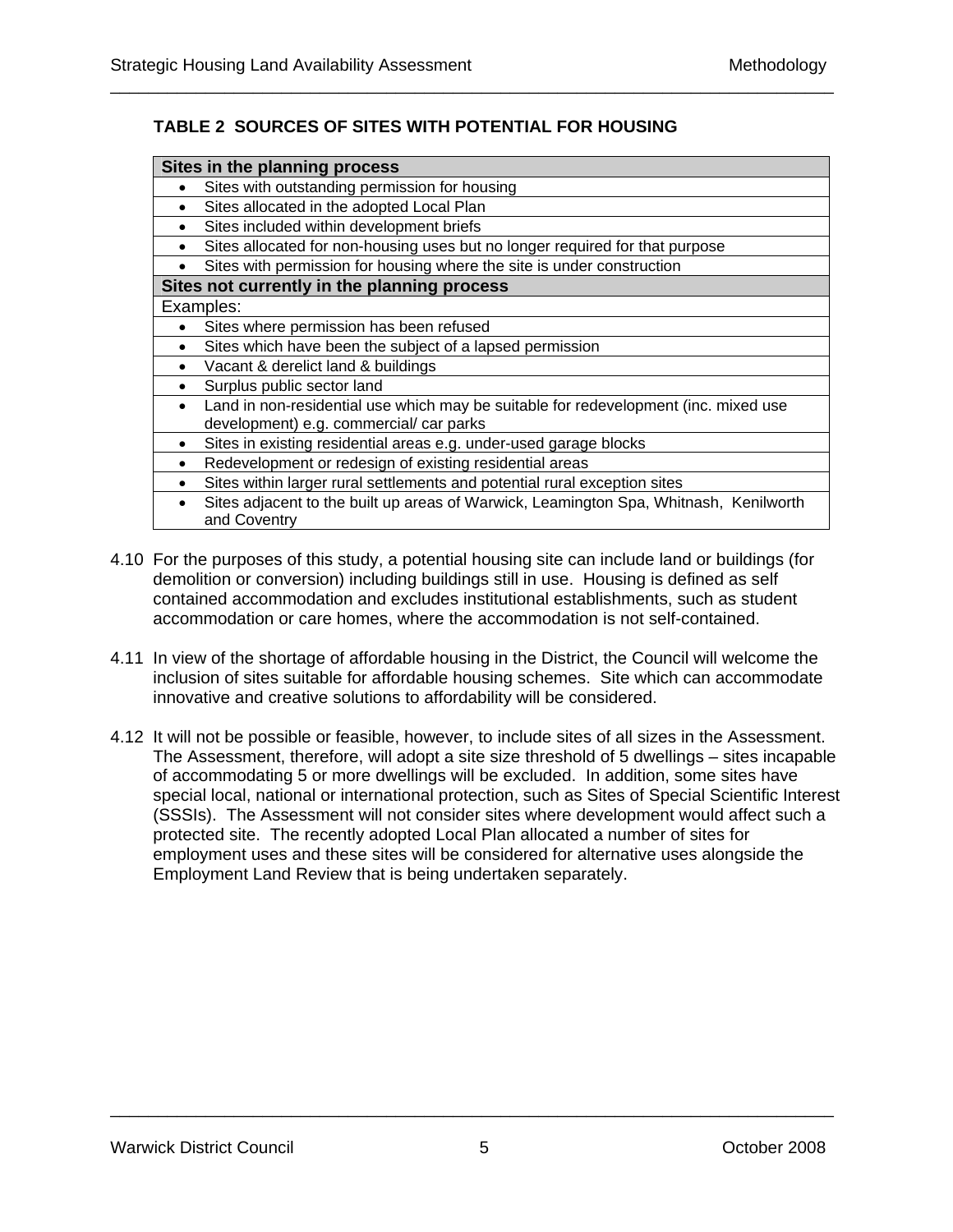## **TABLE 2 SOURCES OF SITES WITH POTENTIAL FOR HOUSING**

\_\_\_\_\_\_\_\_\_\_\_\_\_\_\_\_\_\_\_\_\_\_\_\_\_\_\_\_\_\_\_\_\_\_\_\_\_\_\_\_\_\_\_\_\_\_\_\_\_\_\_\_\_\_\_\_\_\_\_\_\_\_\_\_\_\_\_\_\_\_\_\_\_\_\_\_

| Sites in the planning process                                                                                      |  |  |
|--------------------------------------------------------------------------------------------------------------------|--|--|
| Sites with outstanding permission for housing<br>$\bullet$                                                         |  |  |
| Sites allocated in the adopted Local Plan<br>$\bullet$                                                             |  |  |
| Sites included within development briefs<br>$\bullet$                                                              |  |  |
| Sites allocated for non-housing uses but no longer required for that purpose<br>$\bullet$                          |  |  |
| Sites with permission for housing where the site is under construction<br>$\bullet$                                |  |  |
| Sites not currently in the planning process                                                                        |  |  |
| Examples:                                                                                                          |  |  |
| Sites where permission has been refused<br>$\bullet$                                                               |  |  |
| Sites which have been the subject of a lapsed permission<br>$\bullet$                                              |  |  |
| Vacant & derelict land & buildings<br>$\bullet$                                                                    |  |  |
| Surplus public sector land<br>$\bullet$                                                                            |  |  |
| Land in non-residential use which may be suitable for redevelopment (inc. mixed use<br>$\bullet$                   |  |  |
| development) e.g. commercial/ car parks                                                                            |  |  |
| Sites in existing residential areas e.g. under-used garage blocks<br>$\bullet$                                     |  |  |
| Redevelopment or redesign of existing residential areas<br>$\bullet$                                               |  |  |
| Sites within larger rural settlements and potential rural exception sites<br>$\bullet$                             |  |  |
| Sites adjacent to the built up areas of Warwick, Leamington Spa, Whitnash, Kenilworth<br>$\bullet$<br>and Coventry |  |  |

- 4.10 For the purposes of this study, a potential housing site can include land or buildings (for demolition or conversion) including buildings still in use. Housing is defined as self contained accommodation and excludes institutional establishments, such as student accommodation or care homes, where the accommodation is not self-contained.
- 4.11 In view of the shortage of affordable housing in the District, the Council will welcome the inclusion of sites suitable for affordable housing schemes. Site which can accommodate innovative and creative solutions to affordability will be considered.
- 4.12 It will not be possible or feasible, however, to include sites of all sizes in the Assessment. The Assessment, therefore, will adopt a site size threshold of 5 dwellings – sites incapable of accommodating 5 or more dwellings will be excluded. In addition, some sites have special local, national or international protection, such as Sites of Special Scientific Interest (SSSIs). The Assessment will not consider sites where development would affect such a protected site. The recently adopted Local Plan allocated a number of sites for employment uses and these sites will be considered for alternative uses alongside the Employment Land Review that is being undertaken separately.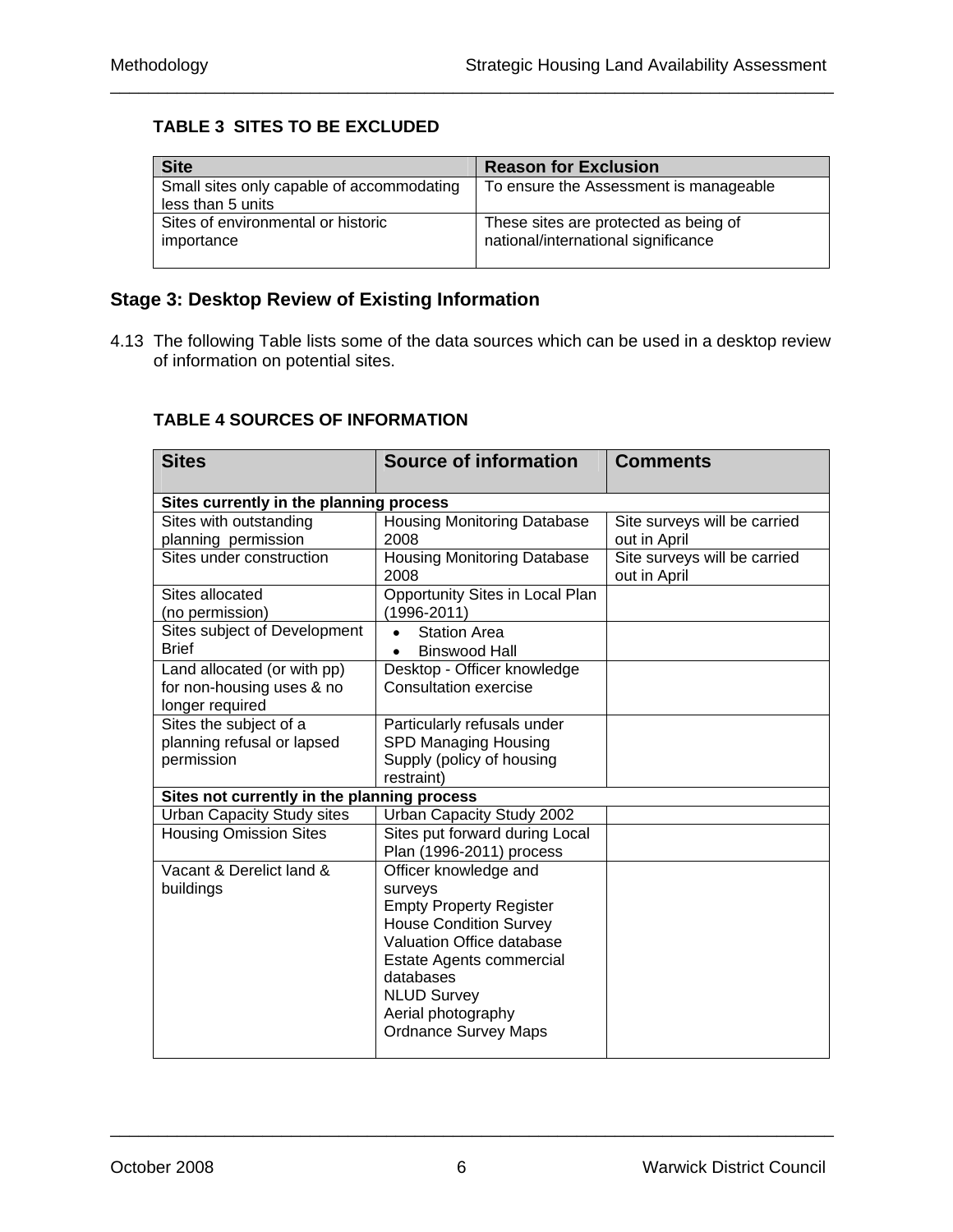## **TABLE 3 SITES TO BE EXCLUDED**

| <b>Site</b>                                                    | <b>Reason for Exclusion</b>                                                  |
|----------------------------------------------------------------|------------------------------------------------------------------------------|
| Small sites only capable of accommodating<br>less than 5 units | To ensure the Assessment is manageable                                       |
| Sites of environmental or historic<br>importance               | These sites are protected as being of<br>national/international significance |

\_\_\_\_\_\_\_\_\_\_\_\_\_\_\_\_\_\_\_\_\_\_\_\_\_\_\_\_\_\_\_\_\_\_\_\_\_\_\_\_\_\_\_\_\_\_\_\_\_\_\_\_\_\_\_\_\_\_\_\_\_\_\_\_\_\_\_\_\_\_\_\_\_\_\_\_

## **Stage 3: Desktop Review of Existing Information**

4.13 The following Table lists some of the data sources which can be used in a desktop review of information on potential sites.

## **TABLE 4 SOURCES OF INFORMATION**

| <b>Sites</b>                                | <b>Source of information</b>               | <b>Comments</b>                              |
|---------------------------------------------|--------------------------------------------|----------------------------------------------|
|                                             |                                            |                                              |
| Sites currently in the planning process     |                                            |                                              |
| Sites with outstanding                      | <b>Housing Monitoring Database</b>         | Site surveys will be carried                 |
| planning permission                         | 2008                                       | out in April                                 |
| Sites under construction                    | <b>Housing Monitoring Database</b><br>2008 | Site surveys will be carried<br>out in April |
| Sites allocated                             | Opportunity Sites in Local Plan            |                                              |
| (no permission)                             | $(1996 - 2011)$                            |                                              |
| Sites subject of Development                | <b>Station Area</b>                        |                                              |
| <b>Brief</b>                                | <b>Binswood Hall</b><br>$\bullet$          |                                              |
| Land allocated (or with pp)                 | Desktop - Officer knowledge                |                                              |
| for non-housing uses & no                   | <b>Consultation exercise</b>               |                                              |
| longer required                             |                                            |                                              |
| Sites the subject of a                      | Particularly refusals under                |                                              |
| planning refusal or lapsed                  | SPD Managing Housing                       |                                              |
| permission                                  | Supply (policy of housing                  |                                              |
|                                             | restraint)                                 |                                              |
| Sites not currently in the planning process |                                            |                                              |
| <b>Urban Capacity Study sites</b>           | Urban Capacity Study 2002                  |                                              |
| <b>Housing Omission Sites</b>               | Sites put forward during Local             |                                              |
|                                             | Plan (1996-2011) process                   |                                              |
| Vacant & Derelict land &                    | Officer knowledge and                      |                                              |
| buildings                                   | surveys                                    |                                              |
|                                             | <b>Empty Property Register</b>             |                                              |
|                                             | <b>House Condition Survey</b>              |                                              |
|                                             | Valuation Office database                  |                                              |
|                                             | Estate Agents commercial                   |                                              |
|                                             | databases                                  |                                              |
|                                             | <b>NLUD Survey</b>                         |                                              |
|                                             | Aerial photography                         |                                              |
|                                             | <b>Ordnance Survey Maps</b>                |                                              |
|                                             |                                            |                                              |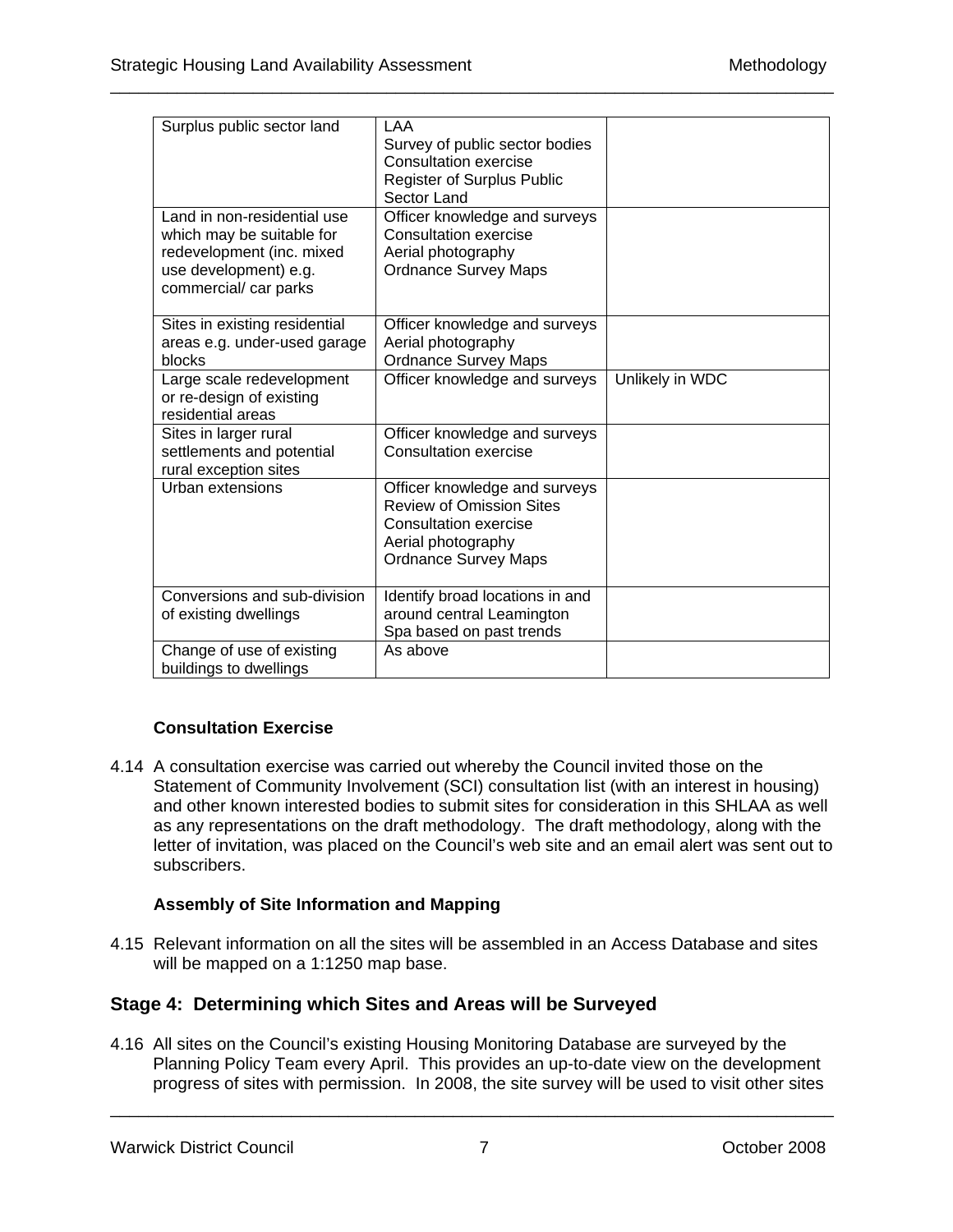| Surplus public sector land                                                                                                              | LAA<br>Survey of public sector bodies<br>Consultation exercise<br>Register of Surplus Public<br>Sector Land                                           |                 |
|-----------------------------------------------------------------------------------------------------------------------------------------|-------------------------------------------------------------------------------------------------------------------------------------------------------|-----------------|
| Land in non-residential use<br>which may be suitable for<br>redevelopment (inc. mixed<br>use development) e.g.<br>commercial/ car parks | Officer knowledge and surveys<br>Consultation exercise<br>Aerial photography<br><b>Ordnance Survey Maps</b>                                           |                 |
| Sites in existing residential<br>areas e.g. under-used garage<br>blocks                                                                 | Officer knowledge and surveys<br>Aerial photography<br><b>Ordnance Survey Maps</b>                                                                    |                 |
| Large scale redevelopment<br>or re-design of existing<br>residential areas                                                              | Officer knowledge and surveys                                                                                                                         | Unlikely in WDC |
| Sites in larger rural<br>settlements and potential<br>rural exception sites                                                             | Officer knowledge and surveys<br>Consultation exercise                                                                                                |                 |
| Urban extensions                                                                                                                        | Officer knowledge and surveys<br><b>Review of Omission Sites</b><br><b>Consultation exercise</b><br>Aerial photography<br><b>Ordnance Survey Maps</b> |                 |
| Conversions and sub-division<br>of existing dwellings                                                                                   | Identify broad locations in and<br>around central Leamington<br>Spa based on past trends                                                              |                 |
| Change of use of existing<br>buildings to dwellings                                                                                     | As above                                                                                                                                              |                 |

\_\_\_\_\_\_\_\_\_\_\_\_\_\_\_\_\_\_\_\_\_\_\_\_\_\_\_\_\_\_\_\_\_\_\_\_\_\_\_\_\_\_\_\_\_\_\_\_\_\_\_\_\_\_\_\_\_\_\_\_\_\_\_\_\_\_\_\_\_\_\_\_\_\_\_\_

### **Consultation Exercise**

4.14 A consultation exercise was carried out whereby the Council invited those on the Statement of Community Involvement (SCI) consultation list (with an interest in housing) and other known interested bodies to submit sites for consideration in this SHLAA as well as any representations on the draft methodology. The draft methodology, along with the letter of invitation, was placed on the Council's web site and an email alert was sent out to subscribers.

### **Assembly of Site Information and Mapping**

4.15 Relevant information on all the sites will be assembled in an Access Database and sites will be mapped on a 1:1250 map base.

## **Stage 4: Determining which Sites and Areas will be Surveyed**

4.16 All sites on the Council's existing Housing Monitoring Database are surveyed by the Planning Policy Team every April. This provides an up-to-date view on the development progress of sites with permission. In 2008, the site survey will be used to visit other sites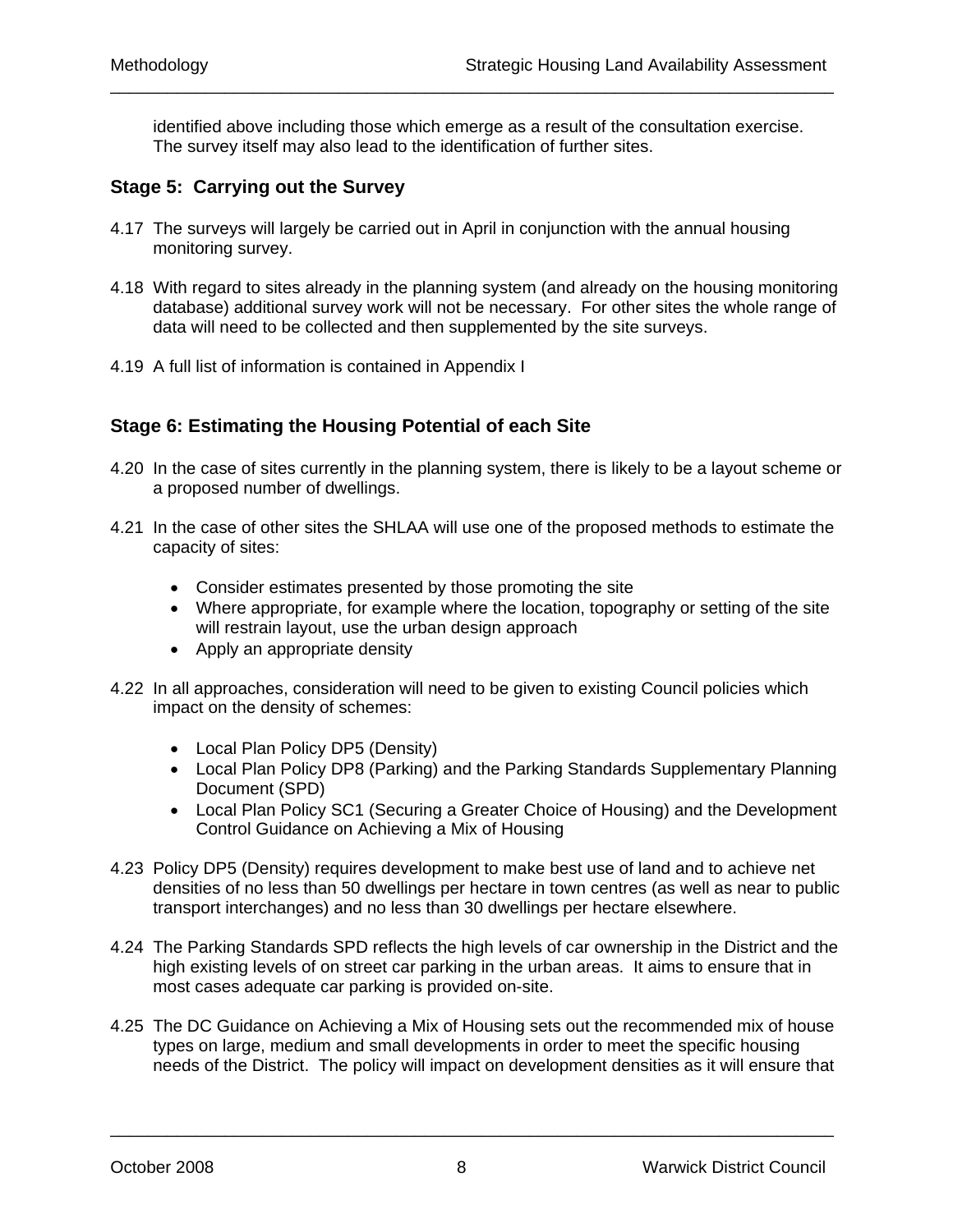identified above including those which emerge as a result of the consultation exercise. The survey itself may also lead to the identification of further sites.

\_\_\_\_\_\_\_\_\_\_\_\_\_\_\_\_\_\_\_\_\_\_\_\_\_\_\_\_\_\_\_\_\_\_\_\_\_\_\_\_\_\_\_\_\_\_\_\_\_\_\_\_\_\_\_\_\_\_\_\_\_\_\_\_\_\_\_\_\_\_\_\_\_\_\_\_

## **Stage 5: Carrying out the Survey**

- 4.17 The surveys will largely be carried out in April in conjunction with the annual housing monitoring survey.
- 4.18 With regard to sites already in the planning system (and already on the housing monitoring database) additional survey work will not be necessary. For other sites the whole range of data will need to be collected and then supplemented by the site surveys.
- 4.19 A full list of information is contained in Appendix I

### **Stage 6: Estimating the Housing Potential of each Site**

- 4.20 In the case of sites currently in the planning system, there is likely to be a layout scheme or a proposed number of dwellings.
- 4.21 In the case of other sites the SHLAA will use one of the proposed methods to estimate the capacity of sites:
	- Consider estimates presented by those promoting the site
	- Where appropriate, for example where the location, topography or setting of the site will restrain layout, use the urban design approach
	- Apply an appropriate density
- 4.22 In all approaches, consideration will need to be given to existing Council policies which impact on the density of schemes:
	- Local Plan Policy DP5 (Density)
	- Local Plan Policy DP8 (Parking) and the Parking Standards Supplementary Planning Document (SPD)
	- Local Plan Policy SC1 (Securing a Greater Choice of Housing) and the Development Control Guidance on Achieving a Mix of Housing
- 4.23 Policy DP5 (Density) requires development to make best use of land and to achieve net densities of no less than 50 dwellings per hectare in town centres (as well as near to public transport interchanges) and no less than 30 dwellings per hectare elsewhere.
- 4.24 The Parking Standards SPD reflects the high levels of car ownership in the District and the high existing levels of on street car parking in the urban areas. It aims to ensure that in most cases adequate car parking is provided on-site.
- 4.25 The DC Guidance on Achieving a Mix of Housing sets out the recommended mix of house types on large, medium and small developments in order to meet the specific housing needs of the District. The policy will impact on development densities as it will ensure that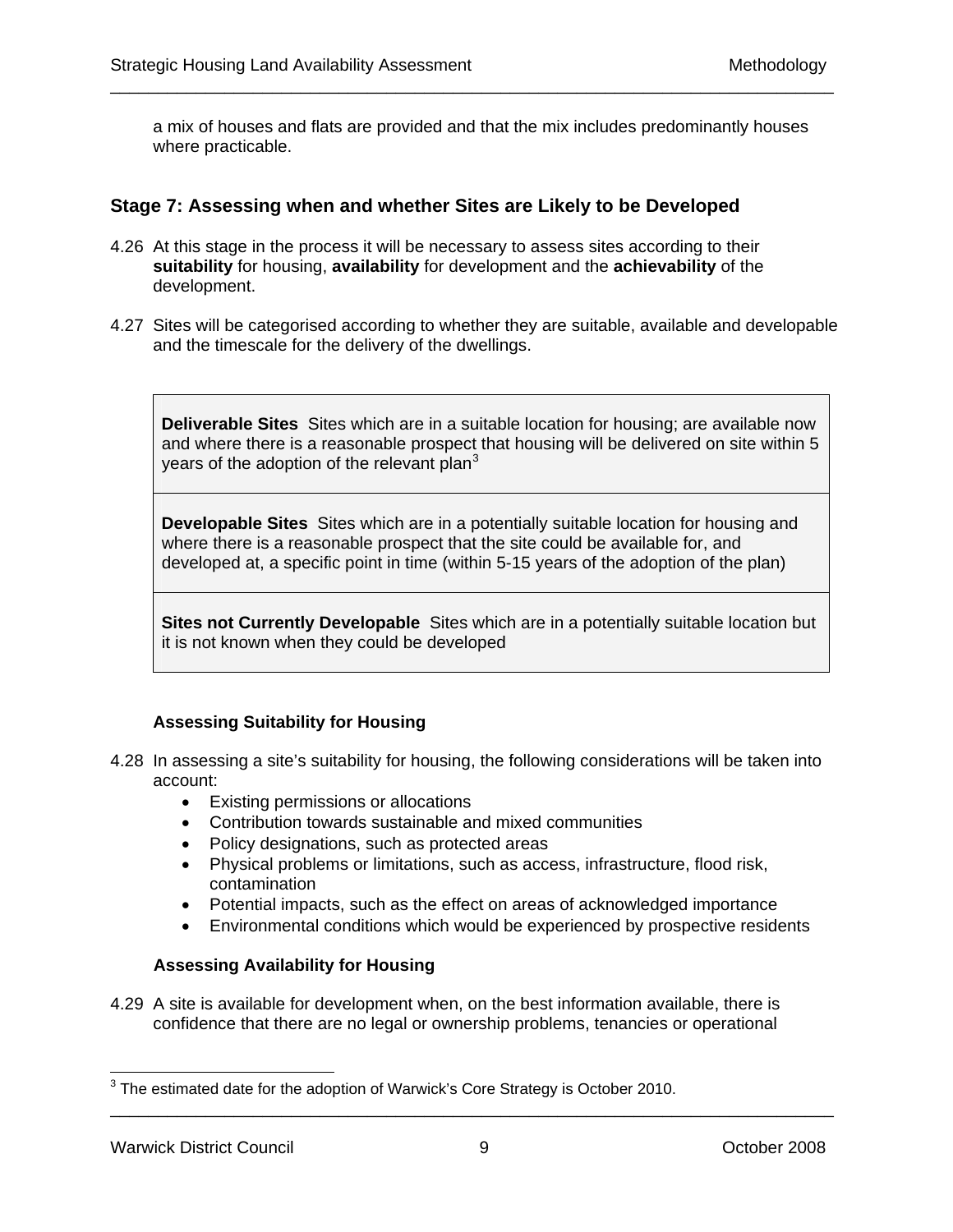a mix of houses and flats are provided and that the mix includes predominantly houses where practicable.

\_\_\_\_\_\_\_\_\_\_\_\_\_\_\_\_\_\_\_\_\_\_\_\_\_\_\_\_\_\_\_\_\_\_\_\_\_\_\_\_\_\_\_\_\_\_\_\_\_\_\_\_\_\_\_\_\_\_\_\_\_\_\_\_\_\_\_\_\_\_\_\_\_\_\_\_

#### **Stage 7: Assessing when and whether Sites are Likely to be Developed**

- 4.26 At this stage in the process it will be necessary to assess sites according to their **suitability** for housing, **availability** for development and the **achievability** of the development.
- 4.27 Sites will be categorised according to whether they are suitable, available and developable and the timescale for the delivery of the dwellings.

**Deliverable Sites** Sites which are in a suitable location for housing; are available now and where there is a reasonable prospect that housing will be delivered on site within 5 years of the adoption of the relevant plan<sup>[3](#page-14-0)</sup>

**Developable Sites** Sites which are in a potentially suitable location for housing and where there is a reasonable prospect that the site could be available for, and developed at, a specific point in time (within 5-15 years of the adoption of the plan)

**Sites not Currently Developable** Sites which are in a potentially suitable location but it is not known when they could be developed

### **Assessing Suitability for Housing**

- 4.28 In assessing a site's suitability for housing, the following considerations will be taken into account:
	- Existing permissions or allocations
	- Contribution towards sustainable and mixed communities
	- Policy designations, such as protected areas
	- Physical problems or limitations, such as access, infrastructure, flood risk, contamination
	- Potential impacts, such as the effect on areas of acknowledged importance
	- Environmental conditions which would be experienced by prospective residents

#### **Assessing Availability for Housing**

4.29 A site is available for development when, on the best information available, there is confidence that there are no legal or ownership problems, tenancies or operational

<span id="page-14-0"></span> $3$  The estimated date for the adoption of Warwick's Core Strategy is October 2010.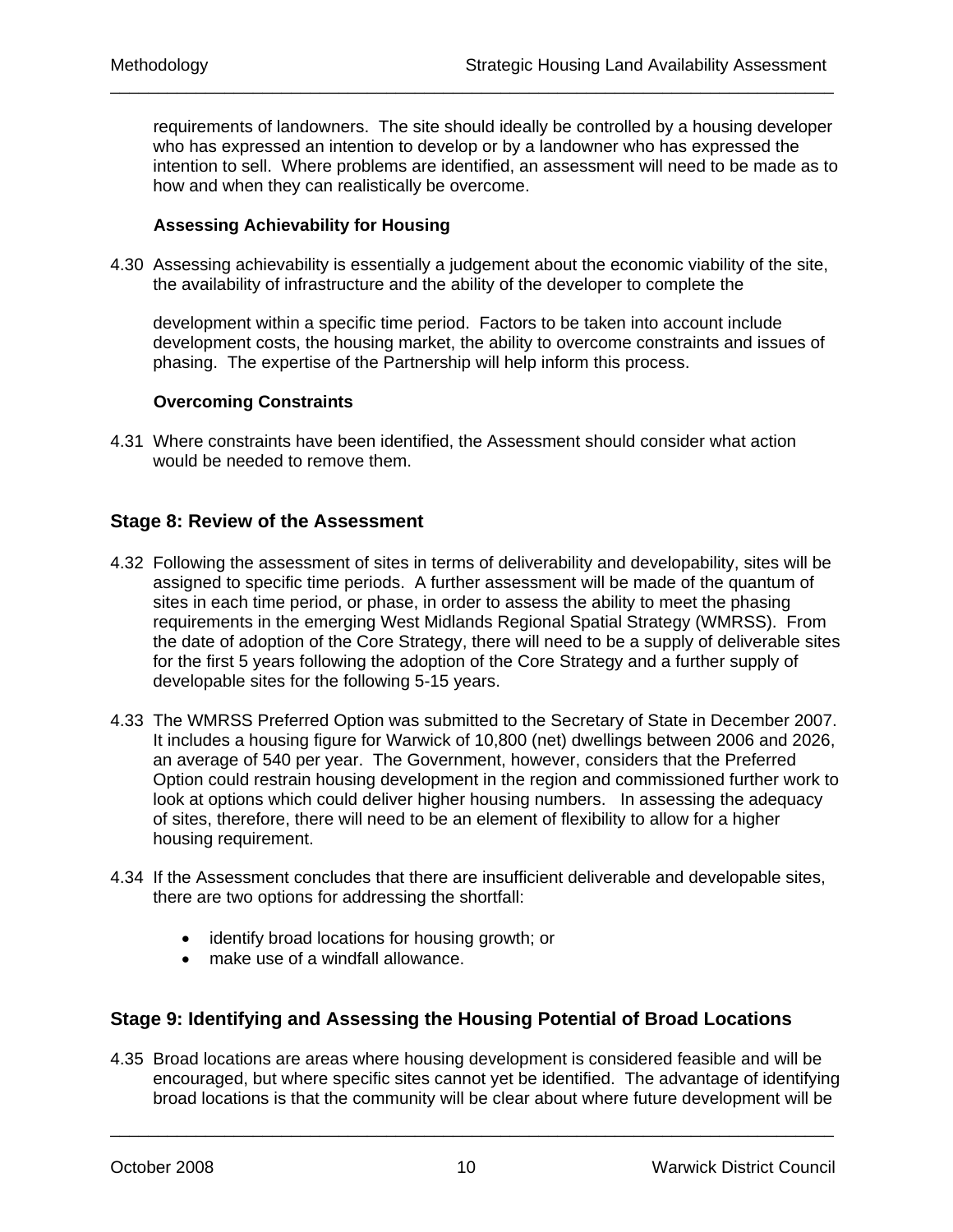requirements of landowners. The site should ideally be controlled by a housing developer who has expressed an intention to develop or by a landowner who has expressed the intention to sell. Where problems are identified, an assessment will need to be made as to how and when they can realistically be overcome.

\_\_\_\_\_\_\_\_\_\_\_\_\_\_\_\_\_\_\_\_\_\_\_\_\_\_\_\_\_\_\_\_\_\_\_\_\_\_\_\_\_\_\_\_\_\_\_\_\_\_\_\_\_\_\_\_\_\_\_\_\_\_\_\_\_\_\_\_\_\_\_\_\_\_\_\_

#### **Assessing Achievability for Housing**

4.30 Assessing achievability is essentially a judgement about the economic viability of the site, the availability of infrastructure and the ability of the developer to complete the

development within a specific time period. Factors to be taken into account include development costs, the housing market, the ability to overcome constraints and issues of phasing. The expertise of the Partnership will help inform this process.

#### **Overcoming Constraints**

4.31 Where constraints have been identified, the Assessment should consider what action would be needed to remove them.

#### **Stage 8: Review of the Assessment**

- 4.32 Following the assessment of sites in terms of deliverability and developability, sites will be assigned to specific time periods. A further assessment will be made of the quantum of sites in each time period, or phase, in order to assess the ability to meet the phasing requirements in the emerging West Midlands Regional Spatial Strategy (WMRSS). From the date of adoption of the Core Strategy, there will need to be a supply of deliverable sites for the first 5 years following the adoption of the Core Strategy and a further supply of developable sites for the following 5-15 years.
- 4.33 The WMRSS Preferred Option was submitted to the Secretary of State in December 2007. It includes a housing figure for Warwick of 10,800 (net) dwellings between 2006 and 2026, an average of 540 per year. The Government, however, considers that the Preferred Option could restrain housing development in the region and commissioned further work to look at options which could deliver higher housing numbers. In assessing the adequacy of sites, therefore, there will need to be an element of flexibility to allow for a higher housing requirement.
- 4.34 If the Assessment concludes that there are insufficient deliverable and developable sites, there are two options for addressing the shortfall:
	- identify broad locations for housing growth; or
	- make use of a windfall allowance.

### **Stage 9: Identifying and Assessing the Housing Potential of Broad Locations**

4.35 Broad locations are areas where housing development is considered feasible and will be encouraged, but where specific sites cannot yet be identified. The advantage of identifying broad locations is that the community will be clear about where future development will be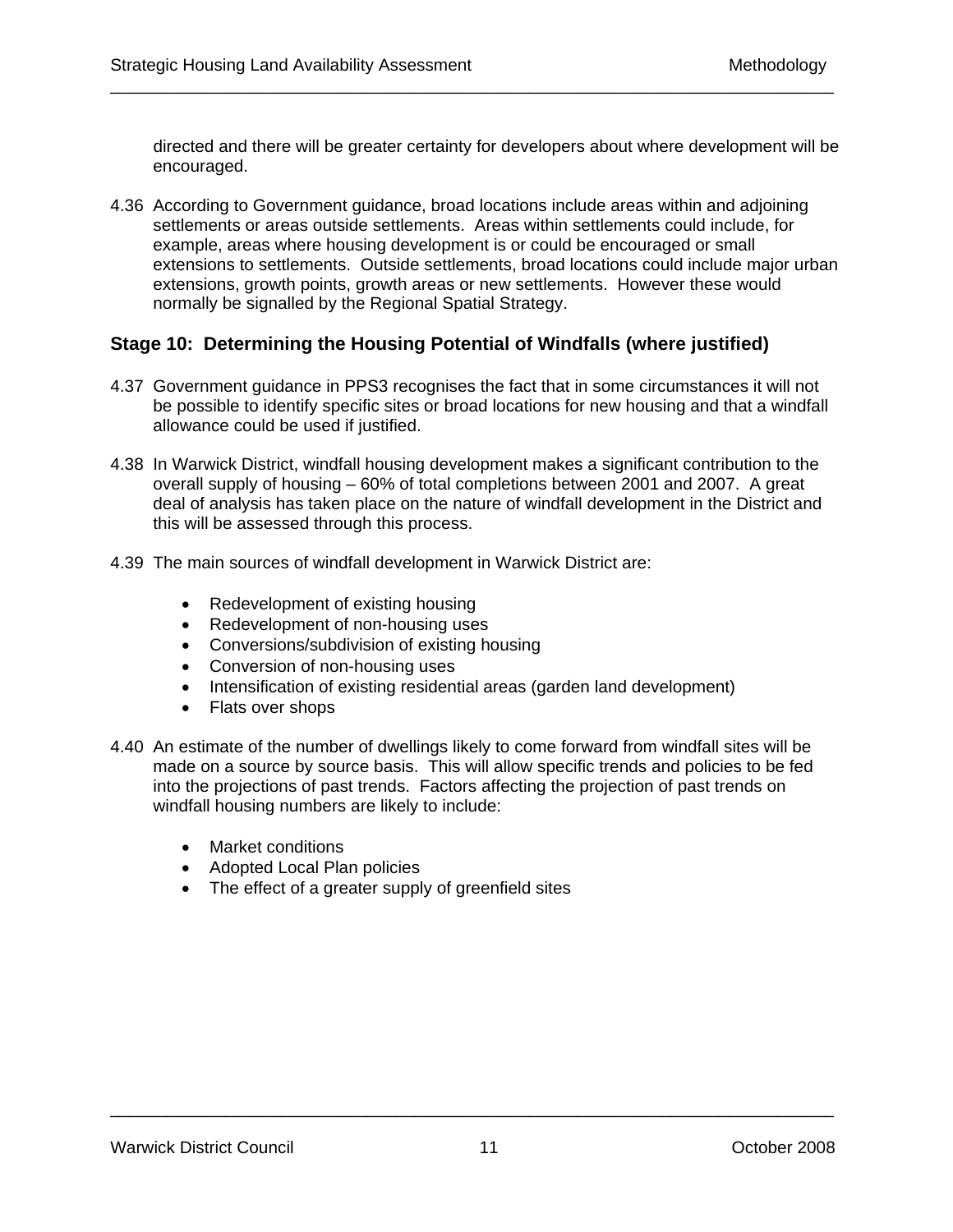directed and there will be greater certainty for developers about where development will be encouraged.

4.36 According to Government guidance, broad locations include areas within and adjoining settlements or areas outside settlements. Areas within settlements could include, for example, areas where housing development is or could be encouraged or small extensions to settlements. Outside settlements, broad locations could include major urban extensions, growth points, growth areas or new settlements. However these would normally be signalled by the Regional Spatial Strategy.

\_\_\_\_\_\_\_\_\_\_\_\_\_\_\_\_\_\_\_\_\_\_\_\_\_\_\_\_\_\_\_\_\_\_\_\_\_\_\_\_\_\_\_\_\_\_\_\_\_\_\_\_\_\_\_\_\_\_\_\_\_\_\_\_\_\_\_\_\_\_\_\_\_\_\_\_

## **Stage 10: Determining the Housing Potential of Windfalls (where justified)**

- 4.37 Government guidance in PPS3 recognises the fact that in some circumstances it will not be possible to identify specific sites or broad locations for new housing and that a windfall allowance could be used if justified.
- 4.38 In Warwick District, windfall housing development makes a significant contribution to the overall supply of housing – 60% of total completions between 2001 and 2007. A great deal of analysis has taken place on the nature of windfall development in the District and this will be assessed through this process.
- 4.39 The main sources of windfall development in Warwick District are:
	- Redevelopment of existing housing
	- Redevelopment of non-housing uses
	- Conversions/subdivision of existing housing
	- Conversion of non-housing uses
	- Intensification of existing residential areas (garden land development)
	- Flats over shops
- 4.40 An estimate of the number of dwellings likely to come forward from windfall sites will be made on a source by source basis. This will allow specific trends and policies to be fed into the projections of past trends. Factors affecting the projection of past trends on windfall housing numbers are likely to include:
	- Market conditions
	- Adopted Local Plan policies
	- The effect of a greater supply of greenfield sites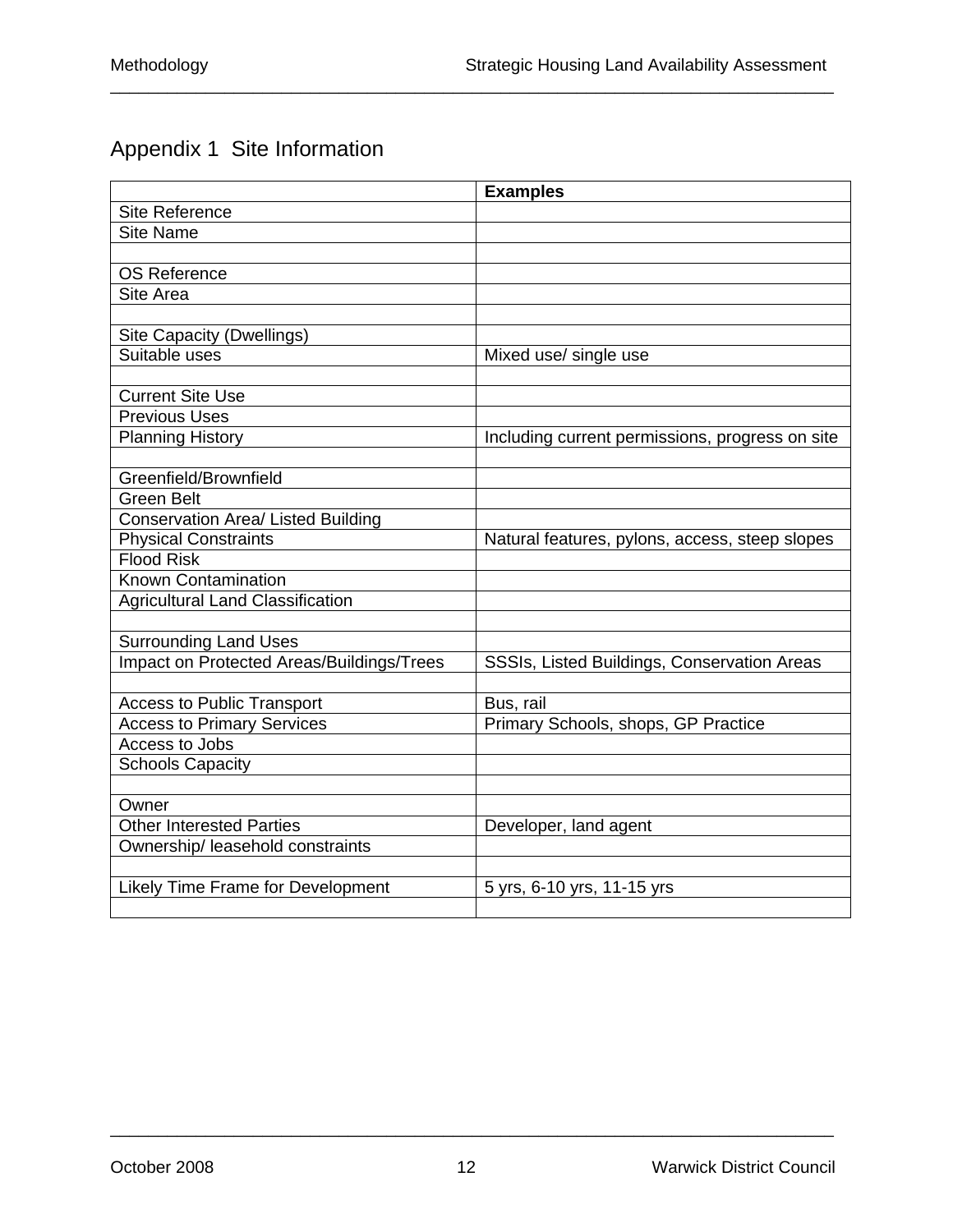# Appendix 1 Site Information

|                                           | <b>Examples</b>                                 |
|-------------------------------------------|-------------------------------------------------|
| <b>Site Reference</b>                     |                                                 |
| <b>Site Name</b>                          |                                                 |
|                                           |                                                 |
| <b>OS Reference</b>                       |                                                 |
| Site Area                                 |                                                 |
|                                           |                                                 |
| <b>Site Capacity (Dwellings)</b>          |                                                 |
| Suitable uses                             | Mixed use/ single use                           |
|                                           |                                                 |
| <b>Current Site Use</b>                   |                                                 |
| <b>Previous Uses</b>                      |                                                 |
| <b>Planning History</b>                   | Including current permissions, progress on site |
|                                           |                                                 |
| Greenfield/Brownfield                     |                                                 |
| <b>Green Belt</b>                         |                                                 |
| <b>Conservation Area/ Listed Building</b> |                                                 |
| <b>Physical Constraints</b>               | Natural features, pylons, access, steep slopes  |
| <b>Flood Risk</b>                         |                                                 |
| <b>Known Contamination</b>                |                                                 |
| <b>Agricultural Land Classification</b>   |                                                 |
|                                           |                                                 |
| <b>Surrounding Land Uses</b>              |                                                 |
| Impact on Protected Areas/Buildings/Trees | SSSIs, Listed Buildings, Conservation Areas     |
|                                           |                                                 |
| <b>Access to Public Transport</b>         | Bus, rail                                       |
| <b>Access to Primary Services</b>         | Primary Schools, shops, GP Practice             |
| Access to Jobs                            |                                                 |
| <b>Schools Capacity</b>                   |                                                 |
|                                           |                                                 |
| Owner                                     |                                                 |
| <b>Other Interested Parties</b>           | Developer, land agent                           |
| Ownership/ leasehold constraints          |                                                 |
|                                           |                                                 |
| Likely Time Frame for Development         | 5 yrs, 6-10 yrs, 11-15 yrs                      |
|                                           |                                                 |

\_\_\_\_\_\_\_\_\_\_\_\_\_\_\_\_\_\_\_\_\_\_\_\_\_\_\_\_\_\_\_\_\_\_\_\_\_\_\_\_\_\_\_\_\_\_\_\_\_\_\_\_\_\_\_\_\_\_\_\_\_\_\_\_\_\_\_\_\_\_\_\_\_\_\_\_